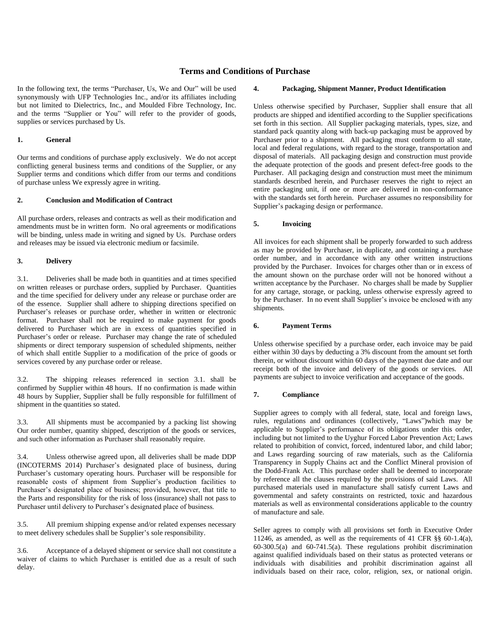# **Terms and Conditions of Purchase**

In the following text, the terms "Purchaser, Us, We and Our" will be used synonymously with UFP Technologies Inc., and/or its affiliates including but not limited to Dielectrics, Inc., and Moulded Fibre Technology, Inc. and the terms "Supplier or You" will refer to the provider of goods, supplies or services purchased by Us.

## **1. General**

Our terms and conditions of purchase apply exclusively. We do not accept conflicting general business terms and conditions of the Supplier, or any Supplier terms and conditions which differ from our terms and conditions of purchase unless We expressly agree in writing.

#### **2. Conclusion and Modification of Contract**

All purchase orders, releases and contracts as well as their modification and amendments must be in written form. No oral agreements or modifications will be binding, unless made in writing and signed by Us. Purchase orders and releases may be issued via electronic medium or facsimile.

# **3. Delivery**

3.1. Deliveries shall be made both in quantities and at times specified on written releases or purchase orders, supplied by Purchaser. Quantities and the time specified for delivery under any release or purchase order are of the essence. Supplier shall adhere to shipping directions specified on Purchaser's releases or purchase order, whether in written or electronic format. Purchaser shall not be required to make payment for goods delivered to Purchaser which are in excess of quantities specified in Purchaser's order or release. Purchaser may change the rate of scheduled shipments or direct temporary suspension of scheduled shipments, neither of which shall entitle Supplier to a modification of the price of goods or services covered by any purchase order or release.

3.2. The shipping releases referenced in section 3.1. shall be confirmed by Supplier within 48 hours. If no confirmation is made within 48 hours by Supplier, Supplier shall be fully responsible for fulfillment of shipment in the quantities so stated.

3.3. All shipments must be accompanied by a packing list showing Our order number, quantity shipped, description of the goods or services, and such other information as Purchaser shall reasonably require.

3.4. Unless otherwise agreed upon, all deliveries shall be made DDP (INCOTERMS 2014) Purchaser's designated place of business, during Purchaser's customary operating hours. Purchaser will be responsible for reasonable costs of shipment from Supplier's production facilities to Purchaser's designated place of business; provided, however, that title to the Parts and responsibility for the risk of loss (insurance) shall not pass to Purchaser until delivery to Purchaser's designated place of business.

3.5. All premium shipping expense and/or related expenses necessary to meet delivery schedules shall be Supplier's sole responsibility.

3.6. Acceptance of a delayed shipment or service shall not constitute a waiver of claims to which Purchaser is entitled due as a result of such delay.

#### **4. Packaging, Shipment Manner, Product Identification**

Unless otherwise specified by Purchaser, Supplier shall ensure that all products are shipped and identified according to the Supplier specifications set forth in this section. All Supplier packaging materials, types, size, and standard pack quantity along with back-up packaging must be approved by Purchaser prior to a shipment. All packaging must conform to all state, local and federal regulations, with regard to the storage, transportation and disposal of materials. All packaging design and construction must provide the adequate protection of the goods and present defect-free goods to the Purchaser. All packaging design and construction must meet the minimum standards described herein, and Purchaser reserves the right to reject an entire packaging unit, if one or more are delivered in non-conformance with the standards set forth herein. Purchaser assumes no responsibility for Supplier's packaging design or performance.

# **5. Invoicing**

All invoices for each shipment shall be properly forwarded to such address as may be provided by Purchaser, in duplicate, and containing a purchase order number, and in accordance with any other written instructions provided by the Purchaser. Invoices for charges other than or in excess of the amount shown on the purchase order will not be honored without a written acceptance by the Purchaser. No charges shall be made by Supplier for any cartage, storage, or packing, unless otherwise expressly agreed to by the Purchaser. In no event shall Supplier's invoice be enclosed with any shipments.

### **6. Payment Terms**

Unless otherwise specified by a purchase order, each invoice may be paid either within 30 days by deducting a 3% discount from the amount set forth therein, or without discount within 60 days of the payment due date and our receipt both of the invoice and delivery of the goods or services. All payments are subject to invoice verification and acceptance of the goods.

#### **7. Compliance**

Supplier agrees to comply with all federal, state, local and foreign laws, rules, regulations and ordinances (collectively, "Laws")which may be applicable to Supplier's performance of its obligations under this order, including but not limited to the Uyghur Forced Labor Prevention Act; Laws related to prohibition of convict, forced, indentured labor, and child labor; and Laws regarding sourcing of raw materials, such as the California Transparency in Supply Chains act and the Conflict Mineral provision of the Dodd-Frank Act. This purchase order shall be deemed to incorporate by reference all the clauses required by the provisions of said Laws. All purchased materials used in manufacture shall satisfy current Laws and governmental and safety constraints on restricted, toxic and hazardous materials as well as environmental considerations applicable to the country of manufacture and sale.

Seller agrees to comply with all provisions set forth in Executive Order 11246, as amended, as well as the requirements of 41 CFR §§ 60-1.4(a), 60-300.5(a) and 60-741.5(a). These regulations prohibit discrimination against qualified individuals based on their status as protected veterans or individuals with disabilities and prohibit discrimination against all individuals based on their race, color, religion, sex, or national origin.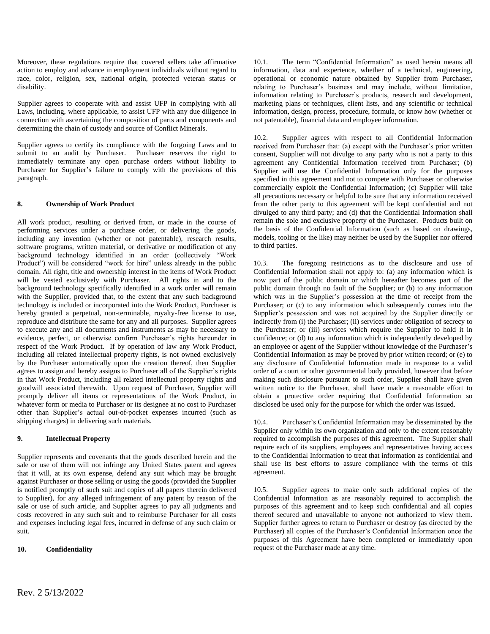Moreover, these regulations require that covered sellers take affirmative action to employ and advance in employment individuals without regard to race, color, religion, sex, national origin, protected veteran status or disability.

Supplier agrees to cooperate with and assist UFP in complying with all Laws, including, where applicable, to assist UFP with any due diligence in connection with ascertaining the composition of parts and components and determining the chain of custody and source of Conflict Minerals.

Supplier agrees to certify its compliance with the forgoing Laws and to submit to an audit by Purchaser. Purchaser reserves the right to immediately terminate any open purchase orders without liability to Purchaser for Supplier's failure to comply with the provisions of this paragraph.

# **8. Ownership of Work Product**

All work product, resulting or derived from, or made in the course of performing services under a purchase order, or delivering the goods, including any invention (whether or not patentable), research results, software programs, written material, or derivative or modification of any background technology identified in an order (collectively "Work Product") will be considered "work for hire" unless already in the public domain. All right, title and ownership interest in the items of Work Product will be vested exclusively with Purchaser. All rights in and to the background technology specifically identified in a work order will remain with the Supplier, provided that, to the extent that any such background technology is included or incorporated into the Work Product, Purchaser is hereby granted a perpetual, non-terminable, royalty-free license to use, reproduce and distribute the same for any and all purposes. Supplier agrees to execute any and all documents and instruments as may be necessary to evidence, perfect, or otherwise confirm Purchaser's rights hereunder in respect of the Work Product. If by operation of law any Work Product, including all related intellectual property rights, is not owned exclusively by the Purchaser automatically upon the creation thereof, then Supplier agrees to assign and hereby assigns to Purchaser all of the Supplier's rights in that Work Product, including all related intellectual property rights and goodwill associated therewith. Upon request of Purchaser, Supplier will promptly deliver all items or representations of the Work Product, in whatever form or media to Purchaser or its designee at no cost to Purchaser other than Supplier's actual out-of-pocket expenses incurred (such as shipping charges) in delivering such materials.

## **9. Intellectual Property**

Supplier represents and covenants that the goods described herein and the sale or use of them will not infringe any United States patent and agrees that it will, at its own expense, defend any suit which may be brought against Purchaser or those selling or using the goods (provided the Supplier is notified promptly of such suit and copies of all papers therein delivered to Supplier), for any alleged infringement of any patent by reason of the sale or use of such article, and Supplier agrees to pay all judgments and costs recovered in any such suit and to reimburse Purchaser for all costs and expenses including legal fees, incurred in defense of any such claim or suit.

#### **10. Confidentiality**

10.1. The term "Confidential Information" as used herein means all information, data and experience, whether of a technical, engineering, operational or economic nature obtained by Supplier from Purchaser, relating to Purchaser's business and may include, without limitation, information relating to Purchaser's products, research and development, marketing plans or techniques, client lists, and any scientific or technical information, design, process, procedure, formula, or know how (whether or not patentable), financial data and employee information.

10.2. Supplier agrees with respect to all Confidential Information received from Purchaser that: (a) except with the Purchaser's prior written consent, Supplier will not divulge to any party who is not a party to this agreement any Confidential Information received from Purchaser; (b) Supplier will use the Confidential Information only for the purposes specified in this agreement and not to compete with Purchaser or otherwise commercially exploit the Confidential Information; (c) Supplier will take all precautions necessary or helpful to be sure that any information received from the other party to this agreement will be kept confidential and not divulged to any third party; and (d) that the Confidential Information shall remain the sole and exclusive property of the Purchaser. Products built on the basis of the Confidential Information (such as based on drawings, models, tooling or the like) may neither be used by the Supplier nor offered to third parties.

10.3. The foregoing restrictions as to the disclosure and use of Confidential Information shall not apply to: (a) any information which is now part of the public domain or which hereafter becomes part of the public domain through no fault of the Supplier; or (b) to any information which was in the Supplier's possession at the time of receipt from the Purchaser; or (c) to any information which subsequently comes into the Supplier's possession and was not acquired by the Supplier directly or indirectly from (i) the Purchaser; (ii) services under obligation of secrecy to the Purchaser; or (iii) services which require the Supplier to hold it in confidence; or (d) to any information which is independently developed by an employee or agent of the Supplier without knowledge of the Purchaser's Confidential Information as may be proved by prior written record; or (e) to any disclosure of Confidential Information made in response to a valid order of a court or other governmental body provided, however that before making such disclosure pursuant to such order, Supplier shall have given written notice to the Purchaser, shall have made a reasonable effort to obtain a protective order requiring that Confidential Information so disclosed be used only for the purpose for which the order was issued.

10.4. Purchaser's Confidential Information may be disseminated by the Supplier only within its own organization and only to the extent reasonably required to accomplish the purposes of this agreement. The Supplier shall require each of its suppliers, employees and representatives having access to the Confidential Information to treat that information as confidential and shall use its best efforts to assure compliance with the terms of this agreement.

10.5. Supplier agrees to make only such additional copies of the Confidential Information as are reasonably required to accomplish the purposes of this agreement and to keep such confidential and all copies thereof secured and unavailable to anyone not authorized to view them. Supplier further agrees to return to Purchaser or destroy (as directed by the Purchaser) all copies of the Purchaser's Confidential Information once the purposes of this Agreement have been completed or immediately upon request of the Purchaser made at any time.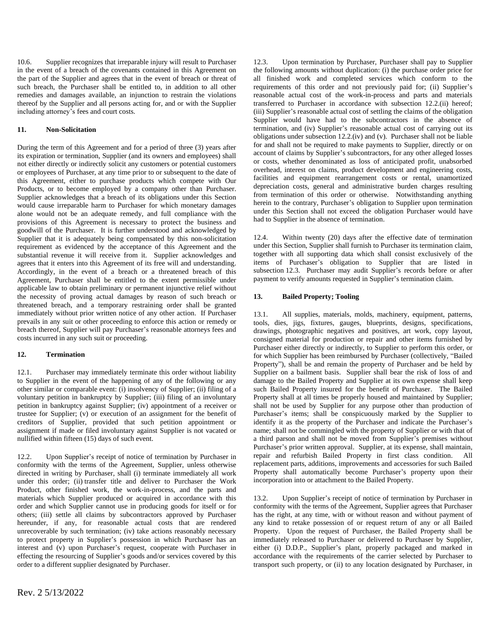10.6. Supplier recognizes that irreparable injury will result to Purchaser in the event of a breach of the covenants contained in this Agreement on the part of the Supplier and agrees that in the event of breach or threat of such breach, the Purchaser shall be entitled to, in addition to all other remedies and damages available, an injunction to restrain the violations thereof by the Supplier and all persons acting for, and or with the Supplier including attorney's fees and court costs.

# **11. Non-Solicitation**

During the term of this Agreement and for a period of three (3) years after its expiration or termination, Supplier (and its owners and employees) shall not either directly or indirectly solicit any customers or potential customers or employees of Purchaser, at any time prior to or subsequent to the date of this Agreement, either to purchase products which compete with Our Products, or to become employed by a company other than Purchaser. Supplier acknowledges that a breach of its obligations under this Section would cause irreparable harm to Purchaser for which monetary damages alone would not be an adequate remedy, and full compliance with the provisions of this Agreement is necessary to protect the business and goodwill of the Purchaser. It is further understood and acknowledged by Supplier that it is adequately being compensated by this non-solicitation requirement as evidenced by the acceptance of this Agreement and the substantial revenue it will receive from it. Supplier acknowledges and agrees that it enters into this Agreement of its free will and understanding. Accordingly, in the event of a breach or a threatened breach of this Agreement, Purchaser shall be entitled to the extent permissible under applicable law to obtain preliminary or permanent injunctive relief without the necessity of proving actual damages by reason of such breach or threatened breach, and a temporary restraining order shall be granted immediately without prior written notice of any other action. If Purchaser prevails in any suit or other proceeding to enforce this action or remedy or breach thereof, Supplier will pay Purchaser's reasonable attorneys fees and costs incurred in any such suit or proceeding.

# **12. Termination**

12.1. Purchaser may immediately terminate this order without liability to Supplier in the event of the happening of any of the following or any other similar or comparable event: (i) insolvency of Supplier; (ii) filing of a voluntary petition in bankruptcy by Supplier; (iii) filing of an involuntary petition in bankruptcy against Supplier; (iv) appointment of a receiver or trustee for Supplier; (v) or execution of an assignment for the benefit of creditors of Supplier, provided that such petition appointment or assignment if made or filed involuntary against Supplier is not vacated or nullified within fifteen (15) days of such event.

12.2. Upon Supplier's receipt of notice of termination by Purchaser in conformity with the terms of the Agreement, Supplier, unless otherwise directed in writing by Purchaser, shall (i) terminate immediately all work under this order; (ii) transfer title and deliver to Purchaser the Work Product, other finished work, the work-in-process, and the parts and materials which Supplier produced or acquired in accordance with this order and which Supplier cannot use in producing goods for itself or for others; (iii) settle all claims by subcontractors approved by Purchaser hereunder, if any, for reasonable actual costs that are rendered unrecoverable by such termination; (iv) take actions reasonably necessary to protect property in Supplier's possession in which Purchaser has an interest and (v) upon Purchaser's request, cooperate with Purchaser in effecting the resourcing of Supplier's goods and/or services covered by this order to a different supplier designated by Purchaser.

12.3. Upon termination by Purchaser, Purchaser shall pay to Supplier the following amounts without duplication: (i) the purchase order price for all finished work and completed services which conform to the requirements of this order and not previously paid for; (ii) Supplier's reasonable actual cost of the work-in-process and parts and materials transferred to Purchaser in accordance with subsection 12.2.(ii) hereof; (iii) Supplier's reasonable actual cost of settling the claims of the obligation Supplier would have had to the subcontractors in the absence of termination, and (iv) Supplier's reasonable actual cost of carrying out its obligations under subsection 12.2.(iv) and (v). Purchaser shall not be liable for and shall not be required to make payments to Supplier, directly or on account of claims by Supplier's subcontractors, for any other alleged losses or costs, whether denominated as loss of anticipated profit, unabsorbed overhead, interest on claims, product development and engineering costs, facilities and equipment rearrangement costs or rental, unamortized depreciation costs, general and administrative burden charges resulting from termination of this order or otherwise. Notwithstanding anything herein to the contrary, Purchaser's obligation to Supplier upon termination under this Section shall not exceed the obligation Purchaser would have had to Supplier in the absence of termination.

12.4. Within twenty (20) days after the effective date of termination under this Section, Supplier shall furnish to Purchaser its termination claim, together with all supporting data which shall consist exclusively of the items of Purchaser's obligation to Supplier that are listed in subsection 12.3. Purchaser may audit Supplier's records before or after payment to verify amounts requested in Supplier's termination claim.

# **13. Bailed Property; Tooling**

13.1. All supplies, materials, molds, machinery, equipment, patterns, tools, dies, jigs, fixtures, gauges, blueprints, designs, specifications, drawings, photographic negatives and positives, art work, copy layout, consigned material for production or repair and other items furnished by Purchaser either directly or indirectly, to Supplier to perform this order, or for which Supplier has been reimbursed by Purchaser (collectively, "Bailed Property"), shall be and remain the property of Purchaser and be held by Supplier on a bailment basis. Supplier shall bear the risk of loss of and damage to the Bailed Property and Supplier at its own expense shall keep such Bailed Property insured for the benefit of Purchaser. The Bailed Property shall at all times be properly housed and maintained by Supplier; shall not be used by Supplier for any purpose other than production of Purchaser's items; shall be conspicuously marked by the Supplier to identify it as the property of the Purchaser and indicate the Purchaser's name; shall not be commingled with the property of Supplier or with that of a third parson and shall not be moved from Supplier's premises without Purchaser's prior written approval. Supplier, at its expense, shall maintain, repair and refurbish Bailed Property in first class condition. All replacement parts, additions, improvements and accessories for such Bailed Property shall automatically become Purchaser's property upon their incorporation into or attachment to the Bailed Property.

13.2. Upon Supplier's receipt of notice of termination by Purchaser in conformity with the terms of the Agreement, Supplier agrees that Purchaser has the right, at any time, with or without reason and without payment of any kind to retake possession of or request return of any or all Bailed Property. Upon the request of Purchaser, the Bailed Property shall be immediately released to Purchaser or delivered to Purchaser by Supplier, either (i) D.D.P., Supplier's plant, properly packaged and marked in accordance with the requirements of the carrier selected by Purchaser to transport such property, or (ii) to any location designated by Purchaser, in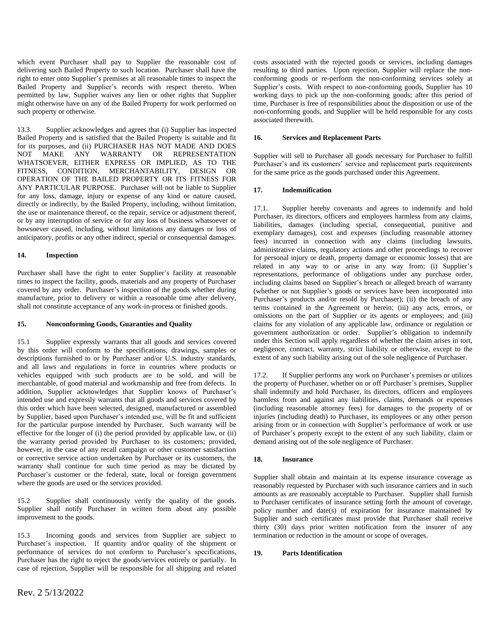which event Purchaser shall pay to Supplier the reasonable cost of delivering such Bailed Property to such location. Purchaser shall have the right to enter onto Supplier's premises at all reasonable times to inspect the Bailed Property and Supplier's records with respect thereto. When permitted by law, Supplier waives any lien or other rights that Supplier might otherwise have on any of the Bailed Property for work performed on such property or otherwise.

13.3. Supplier acknowledges and agrees that (i) Supplier has inspected Bailed Property and is satisfied that the Bailed Property is suitable and fit for its purposes, and (ii) PURCHASER HAS NOT MADE AND DOES NOT MAKE ANY WARRANTY OR REPRESENTATION WHATSOEVER, EITHER EXPRESS OR IMPLIED, AS TO THE FITNESS, CONDITION, MERCHANTABILITY, DESIGN OR OPERATION OF THE BAILED PROPERTY OR ITS FITNESS FOR ANY PARTICULAR PURPOSE. Purchaser will not be liable to Supplier for any loss, damage, injury or expense of any kind or nature caused, directly or indirectly, by the Bailed Property, including, without limitation, the use or maintenance thereof, or the repair, service or adjustment thereof, or by any interruption of service or for any loss of business whatsoever or howsoever caused, including, without limitations any damages or loss of anticipatory, profits or any other indirect, special or consequential damages.

# **14. Inspection**

Purchaser shall have the right to enter Supplier's facility at reasonable times to inspect the facility, goods, materials and any property of Purchaser covered by any order. Purchaser's inspection of the goods whether during manufacture, prior to delivery or within a reasonable time after delivery, shall not constitute acceptance of any work-in-process or finished goods.

#### **15. Nonconforming Goods, Guaranties and Quality**

15.1 Supplier expressly warrants that all goods and services covered by this order will conform to the specifications, drawings, samples or descriptions furnished to or by Purchaser and/or U.S. industry standards, and all laws and regulations in force in countries where products or vehicles equipped with such products are to be sold, and will be merchantable, of good material and workmanship and free from defects. In addition, Supplier acknowledges that Supplier knows of Purchaser's intended use and expressly warrants that all goods and services covered by this order which have been selected, designed, manufactured or assembled by Supplier, based upon Purchaser's intended use, will be fit and sufficient for the particular purpose intended by Purchaser. Such warranty will be effective for the longer of (i) the period provided by applicable law, or (ii) the warranty period provided by Purchaser to its customers; provided, however, in the case of any recall campaign or other customer satisfaction or corrective service action undertaken by Purchaser or its customers, the warranty shall continue for such time period as may be dictated by Purchaser's customer or the federal, state, local or foreign government where the goods are used or the services provided.

15.2 Supplier shall continuously verify the quality of the goods. Supplier shall notify Purchaser in written form about any possible improvement to the goods.

15.3 Incoming goods and services from Supplier are subject to Purchaser's inspection. If quantity and/or quality of the shipment or performance of services do not conform to Purchaser's specifications, Purchaser has the right to reject the goods/services entirely or partially. In case of rejection, Supplier will be responsible for all shipping and related costs associated with the rejected goods or services, including damages resulting to third parties. Upon rejection, Supplier will replace the nonconforming goods or re-perform the non-conforming services solely at Supplier's costs. With respect to non-conforming goods, Supplier has 10 working days to pick up the non-conforming goods; after this period of time, Purchaser is free of responsibilities about the disposition or use of the non-conforming goods, and Supplier will be held responsible for any costs associated therewith.

## **16. Services and Replacement Parts**

Supplier will sell to Purchaser all goods necessary for Purchaser to fulfill Purchaser's and its customers' service and replacement parts requirements for the same price as the goods purchased under this Agreement.

## **17. Indemnification**

17.1. Supplier hereby covenants and agrees to indemnify and hold Purchaser, its directors, officers and employees harmless from any claims, liabilities, damages (including special, consequential, punitive and exemplary damages), cost and expenses (including reasonable attorney fees) incurred in connection with any claims (including lawsuits, administrative claims, regulatory actions and other proceedings to recover for personal injury or death, property damage or economic losses) that are related in any way to or arise in any way from; (i) Supplier's representations, performance of obligations under any purchase order, including claims based on Supplier's breach or alleged breach of warranty (whether or not Supplier's goods or services have been incorporated into Purchaser's products and/or resold by Purchaser); (ii) the breach of any terms contained in the Agreement or herein; (iii) any acts, errors, or omissions on the part of Supplier or its agents or employees; and (iii) claims for any violation of any applicable law, ordinance or regulation or government authorization or order. Supplier's obligation to indemnify under this Section will apply regardless of whether the claim arises in tort, negligence, contract, warranty, strict liability or otherwise, except to the extent of any such liability arising out of the sole negligence of Purchaser.

17.2. If Supplier performs any work on Purchaser's premises or utilizes the property of Purchaser, whether on or off Purchaser's premises, Supplier shall indemnify and hold Purchaser, its directors, officers and employees harmless from and against any liabilities, claims, demands or expenses (including reasonable attorney fees) for damages to the property of or injuries (including death) to Purchaser, its employees or any other person arising from or in connection with Supplier's performance of work or use of Purchaser's property except to the extent of any such liability, claim or demand arising out of the sole negligence of Purchaser.

#### **18. Insurance**

Supplier shall obtain and maintain at its expense insurance coverage as reasonably requested by Purchaser with such insurance carriers and in such amounts as are reasonably acceptable to Purchaser. Supplier shall furnish to Purchaser certificates of insurance setting forth the amount of coverage, policy number and date(s) of expiration for insurance maintained by Supplier and such certificates must provide that Purchaser shall receive thirty (30) days prior written notification from the insurer of any termination or reduction in the amount or scope of overages.

# **19. Parts Identification**